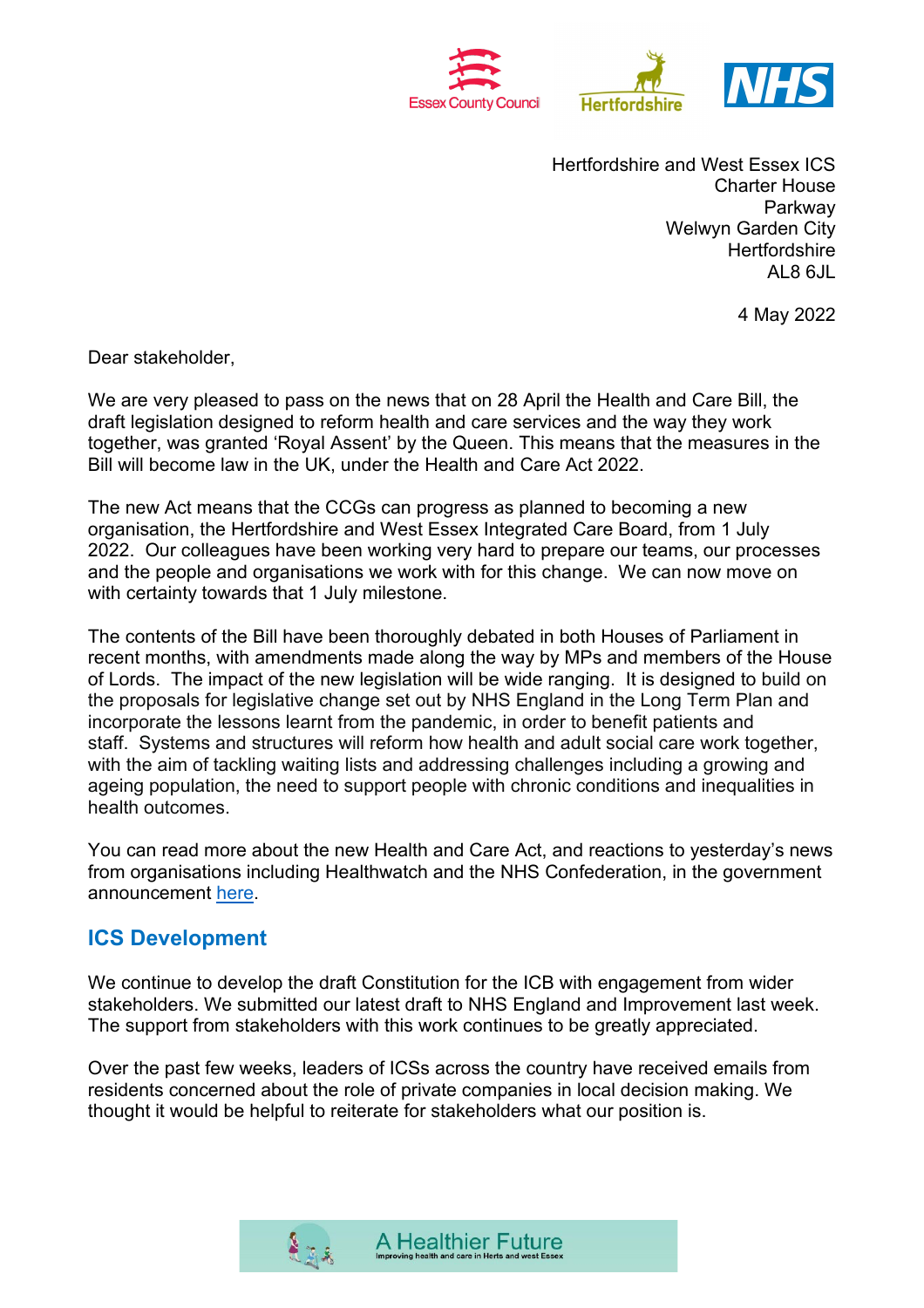

Hertfordshire and West Essex ICS Charter House Parkway Welwyn Garden City **Hertfordshire** AL8 6JL

4 May 2022

Dear stakeholder,

We are very pleased to pass on the news that on 28 April the Health and Care Bill, the draft legislation designed to reform health and care services and the way they work together, was granted 'Royal Assent' by the Queen. This means that the measures in the Bill will become law in the UK, under the Health and Care Act 2022.

The new Act means that the CCGs can progress as planned to becoming a new organisation, the Hertfordshire and West Essex Integrated Care Board, from 1 July 2022. Our colleagues have been working very hard to prepare our teams, our processes and the people and organisations we work with for this change. We can now move on with certainty towards that 1 July milestone.

The contents of the Bill have been thoroughly debated in both Houses of Parliament in recent months, with amendments made along the way by MPs and members of the House of Lords. The impact of the new legislation will be wide ranging. It is designed to build on the proposals for legislative change set out by NHS England in the Long Term Plan and incorporate the lessons learnt from the pandemic, in order to benefit patients and staff. Systems and structures will reform how health and adult social care work together, with the aim of tackling waiting lists and addressing challenges including a growing and ageing population, the need to support people with chronic conditions and inequalities in health outcomes.

You can read more about the new Health and Care Act, and reactions to yesterday's news from organisations including Healthwatch and the NHS Confederation, in the government announcement [here.](https://www.gov.uk/government/news/health-and-care-bill-granted-royal-assent-in-milestone-for-healthcare-recovery-and-reform#:%7E:text=The%20Health%20and%20Care%20Bill,in%20a%20decade%20into%20law.&text=and%20Care%20Levy-,The%20Health%20and%20Care%20Bill%20has%20today%20received%20Royal%20Assent,in%20a%20decade%20into%20law)

# **ICS Development**

We continue to develop the draft Constitution for the ICB with engagement from wider stakeholders. We submitted our latest draft to NHS England and Improvement last week. The support from stakeholders with this work continues to be greatly appreciated.

Over the past few weeks, leaders of ICSs across the country have received emails from residents concerned about the role of private companies in local decision making. We thought it would be helpful to reiterate for stakeholders what our position is.

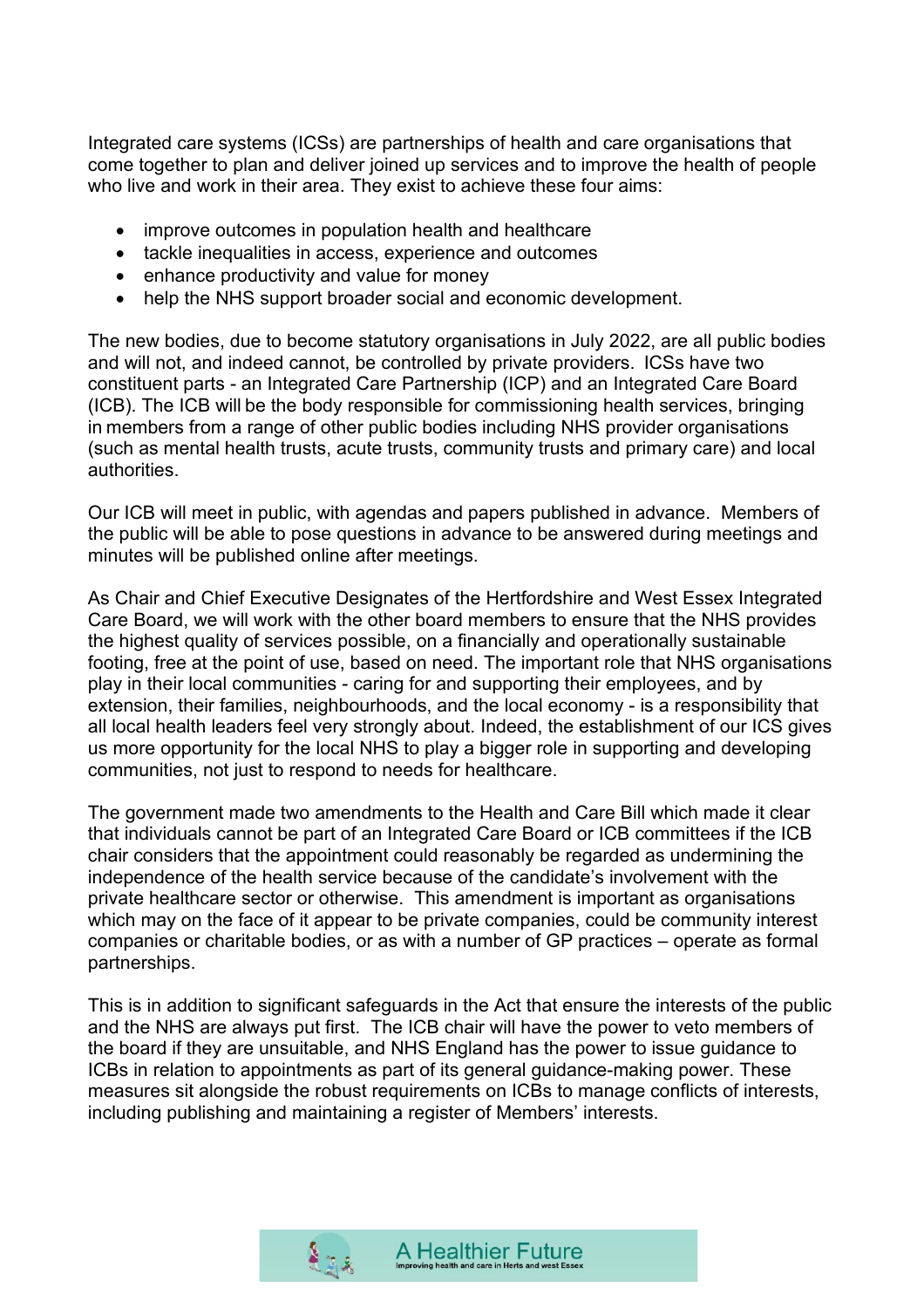Integrated care systems (ICSs) are partnerships of health and care organisations that come together to plan and deliver joined up services and to improve the health of people who live and work in their area. They exist to achieve these four aims:

- improve outcomes in population health and healthcare
- tackle inequalities in access, experience and outcomes
- enhance productivity and value for money
- help the NHS support broader social and economic development.

The new bodies, due to become statutory organisations in July 2022, are all public bodies and will not, and indeed cannot, be controlled by private providers.  ICSs have two constituent parts - an Integrated Care Partnership (ICP) and an Integrated Care Board (ICB). The ICB will be the body responsible for commissioning health services, bringing in members from a range of other public bodies including NHS provider organisations (such as mental health trusts, acute trusts, community trusts and primary care) and local authorities.

Our ICB will meet in public, with agendas and papers published in advance. Members of the public will be able to pose questions in advance to be answered during meetings and minutes will be published online after meetings.

As Chair and Chief Executive Designates of the Hertfordshire and West Essex Integrated Care Board, we will work with the other board members to ensure that the NHS provides the highest quality of services possible, on a financially and operationally sustainable footing, free at the point of use, based on need. The important role that NHS organisations play in their local communities - caring for and supporting their employees, and by extension, their families, neighbourhoods, and the local economy - is a responsibility that all local health leaders feel very strongly about. Indeed, the establishment of our ICS gives us more opportunity for the local NHS to play a bigger role in supporting and developing communities, not just to respond to needs for healthcare.

The government made two amendments to the Health and Care Bill which made it clear that individuals cannot be part of an Integrated Care Board or ICB committees if the ICB chair considers that the appointment could reasonably be regarded as undermining the independence of the health service because of the candidate's involvement with the private healthcare sector or otherwise. This amendment is important as organisations which may on the face of it appear to be private companies, could be community interest companies or charitable bodies, or as with a number of GP practices – operate as formal partnerships.

This is in addition to significant safeguards in the Act that ensure the interests of the public and the NHS are always put first. The ICB chair will have the power to veto members of the board if they are unsuitable, and NHS England has the power to issue guidance to ICBs in relation to appointments as part of its general guidance-making power. These measures sit alongside the robust requirements on ICBs to manage conflicts of interests, including publishing and maintaining a register of Members' interests.

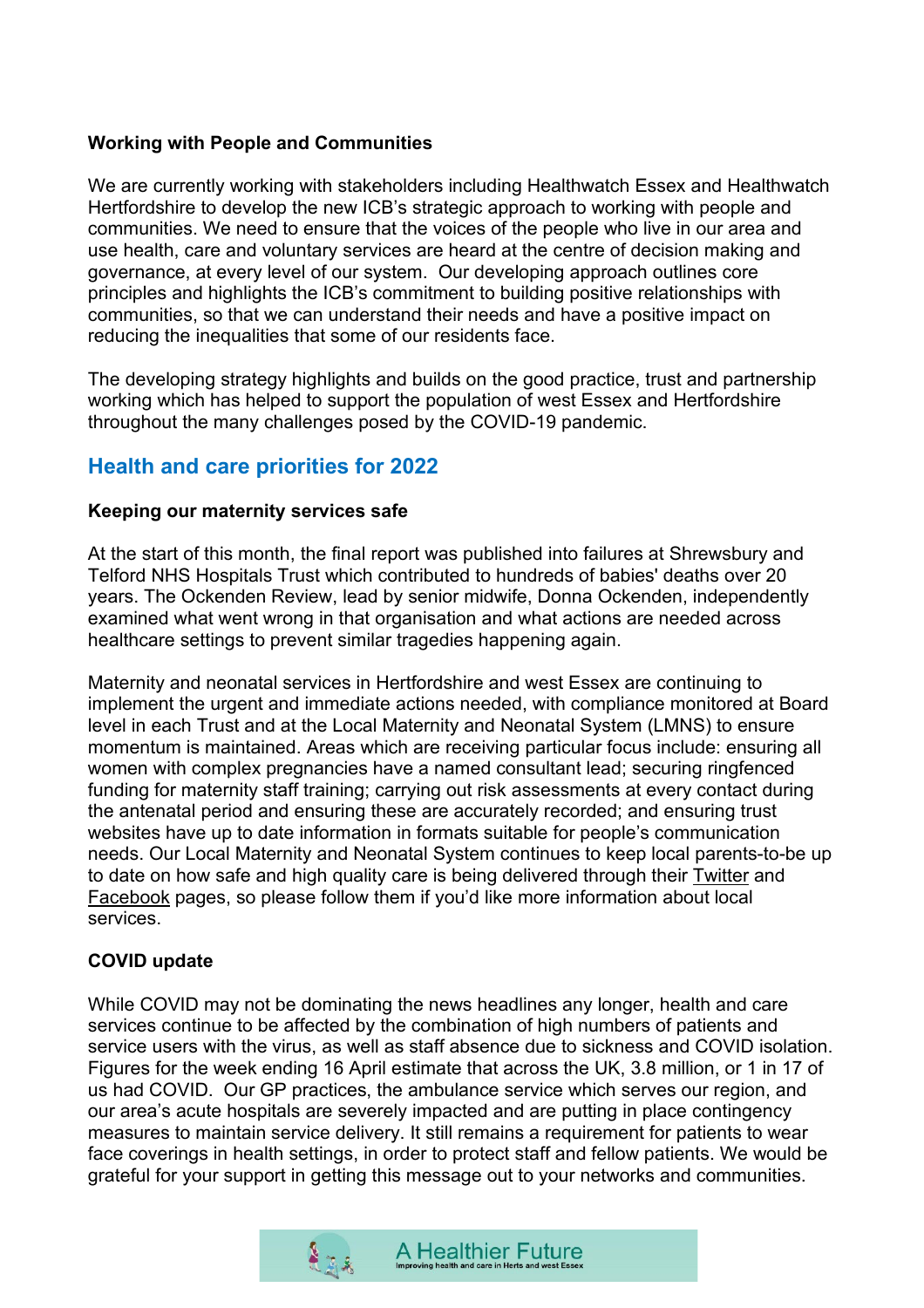### **Working with People and Communities**

We are currently working with stakeholders including Healthwatch Essex and Healthwatch Hertfordshire to develop the new ICB's strategic approach to working with people and communities. We need to ensure that the voices of the people who live in our area and use health, care and voluntary services are heard at the centre of decision making and governance, at every level of our system. Our developing approach outlines core principles and highlights the ICB's commitment to building positive relationships with communities, so that we can understand their needs and have a positive impact on reducing the inequalities that some of our residents face.

The developing strategy highlights and builds on the good practice, trust and partnership working which has helped to support the population of west Essex and Hertfordshire throughout the many challenges posed by the COVID-19 pandemic.

# **Health and care priorities for 2022**

#### **Keeping our maternity services safe**

At the start of this month, the final report was published into failures at Shrewsbury and Telford NHS Hospitals Trust which contributed to hundreds of babies' deaths over 20 years. The Ockenden Review, lead by senior midwife, Donna Ockenden, independently examined what went wrong in that organisation and what actions are needed across healthcare settings to prevent similar tragedies happening again.

Maternity and neonatal services in Hertfordshire and west Essex are continuing to implement the urgent and immediate actions needed, with compliance monitored at Board level in each Trust and at the Local Maternity and Neonatal System (LMNS) to ensure momentum is maintained. Areas which are receiving particular focus include: ensuring all women with complex pregnancies have a named consultant lead; securing ringfenced funding for maternity staff training; carrying out risk assessments at every contact during the antenatal period and ensuring these are accurately recorded; and ensuring trust websites have up to date information in formats suitable for people's communication needs. Our Local Maternity and Neonatal System continues to keep local parents-to-be up to date on how safe and high quality care is being delivered through their [Twitter](https://twitter.com/HWE_LMNS) and [Facebook](https://www.facebook.com/HertsandWestEssexLMNS) pages, so please follow them if you'd like more information about local services.

### **COVID update**

While COVID may not be dominating the news headlines any longer, health and care services continue to be affected by the combination of high numbers of patients and service users with the virus, as well as staff absence due to sickness and COVID isolation. Figures for the week ending 16 April estimate that across the UK, 3.8 million, or 1 in 17 of us had COVID. Our GP practices, the ambulance service which serves our region, and our area's acute hospitals are severely impacted and are putting in place contingency measures to maintain service delivery. It still remains a requirement for patients to wear face coverings in health settings, in order to protect staff and fellow patients. We would be grateful for your support in getting this message out to your networks and communities.

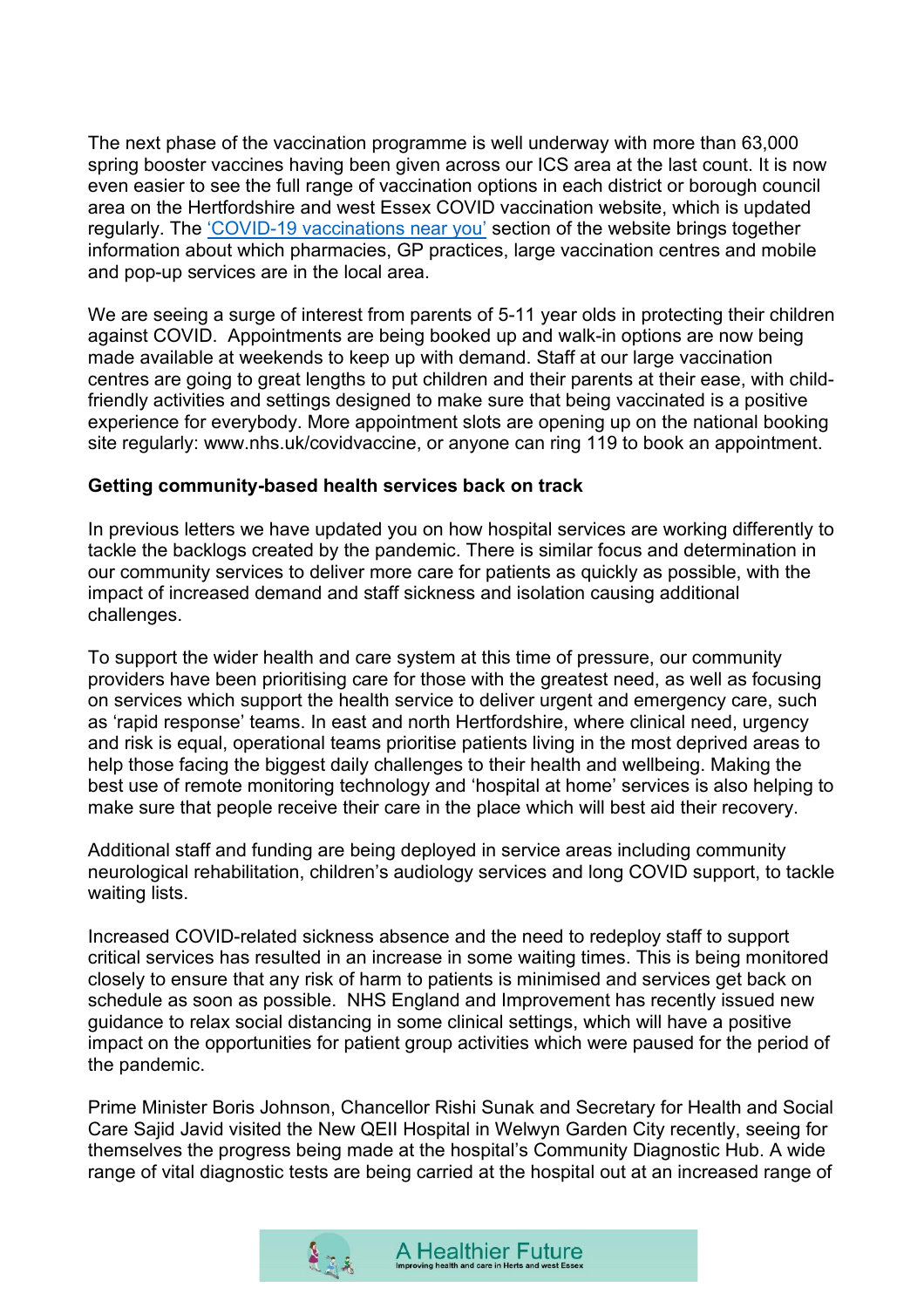The next phase of the vaccination programme is well underway with more than 63,000 spring booster vaccines having been given across our ICS area at the last count. It is now even easier to see the full range of vaccination options in each district or borough council area on the Hertfordshire and west Essex COVID vaccination website, which is updated regularly. The ['COVID-19 vaccinations near you'](https://covid.healthierfuture.org.uk/events/vaccination-walk-in-clinic-times) section of the website brings together information about which pharmacies, GP practices, large vaccination centres and mobile and pop-up services are in the local area.

We are seeing a surge of interest from parents of 5-11 year olds in protecting their children against COVID. Appointments are being booked up and walk-in options are now being made available at weekends to keep up with demand. Staff at our large vaccination centres are going to great lengths to put children and their parents at their ease, with childfriendly activities and settings designed to make sure that being vaccinated is a positive experience for everybody. More appointment slots are opening up on the national booking site regularly: www.nhs.uk/covidvaccine, or anyone can ring 119 to book an appointment.

### **Getting community-based health services back on track**

In previous letters we have updated you on how hospital services are working differently to tackle the backlogs created by the pandemic. There is similar focus and determination in our community services to deliver more care for patients as quickly as possible, with the impact of increased demand and staff sickness and isolation causing additional challenges.

To support the wider health and care system at this time of pressure, our community providers have been prioritising care for those with the greatest need, as well as focusing on services which support the health service to deliver urgent and emergency care, such as 'rapid response' teams. In east and north Hertfordshire, where clinical need, urgency and risk is equal, operational teams prioritise patients living in the most deprived areas to help those facing the biggest daily challenges to their health and wellbeing. Making the best use of remote monitoring technology and 'hospital at home' services is also helping to make sure that people receive their care in the place which will best aid their recovery.

Additional staff and funding are being deployed in service areas including community neurological rehabilitation, children's audiology services and long COVID support, to tackle waiting lists.

Increased COVID-related sickness absence and the need to redeploy staff to support critical services has resulted in an increase in some waiting times. This is being monitored closely to ensure that any risk of harm to patients is minimised and services get back on schedule as soon as possible. NHS England and Improvement has recently issued new guidance to relax social distancing in some clinical settings, which will have a positive impact on the opportunities for patient group activities which were paused for the period of the pandemic.

Prime Minister Boris Johnson, Chancellor Rishi Sunak and Secretary for Health and Social Care Sajid Javid visited the New QEII Hospital in Welwyn Garden City recently, seeing for themselves the progress being made at the hospital's Community Diagnostic Hub. A wide range of vital diagnostic tests are being carried at the hospital out at an increased range of

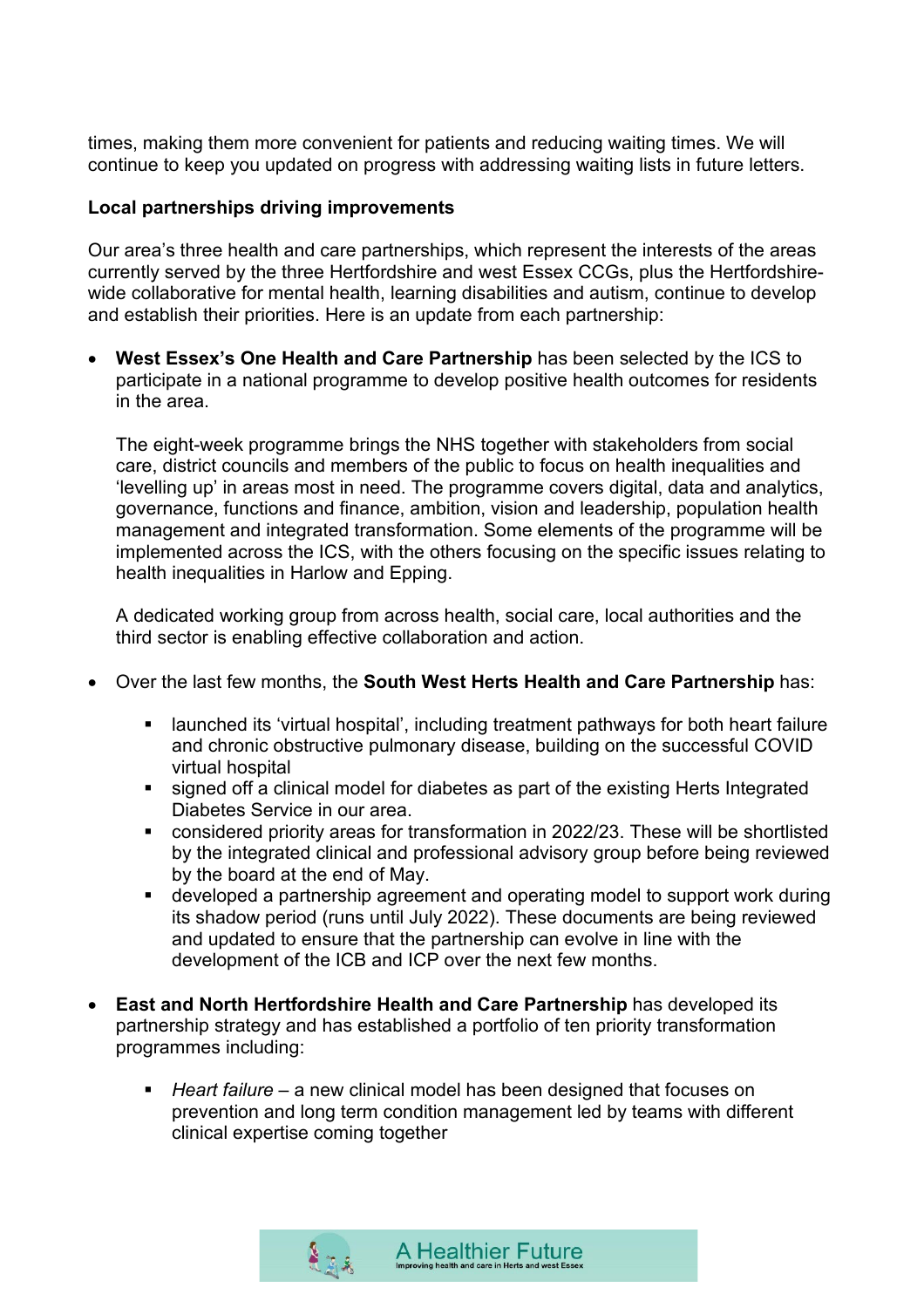times, making them more convenient for patients and reducing waiting times. We will continue to keep you updated on progress with addressing waiting lists in future letters.

#### **Local partnerships driving improvements**

Our area's three health and care partnerships, which represent the interests of the areas currently served by the three Hertfordshire and west Essex CCGs, plus the Hertfordshirewide collaborative for mental health, learning disabilities and autism, continue to develop and establish their priorities. Here is an update from each partnership:

• **West Essex's One Health and Care Partnership** has been selected by the ICS to participate in a national programme to develop positive health outcomes for residents in the area.

The eight-week programme brings the NHS together with stakeholders from social care, district councils and members of the public to focus on health inequalities and 'levelling up' in areas most in need. The programme covers digital, data and analytics, governance, functions and finance, ambition, vision and leadership, population health management and integrated transformation. Some elements of the programme will be implemented across the ICS, with the others focusing on the specific issues relating to health inequalities in Harlow and Epping.

A dedicated working group from across health, social care, local authorities and the third sector is enabling effective collaboration and action.

- Over the last few months, the **South West Herts Health and Care Partnership** has:
	- **EXT** launched its 'virtual hospital', including treatment pathways for both heart failure and chronic obstructive pulmonary disease, building on the successful COVID virtual hospital
	- signed off a clinical model for diabetes as part of the existing Herts Integrated Diabetes Service in our area.
	- considered priority areas for transformation in 2022/23. These will be shortlisted by the integrated clinical and professional advisory group before being reviewed by the board at the end of May.
	- developed a partnership agreement and operating model to support work during its shadow period (runs until July 2022). These documents are being reviewed and updated to ensure that the partnership can evolve in line with the development of the ICB and ICP over the next few months.
- **East and North Hertfordshire Health and Care Partnership** has developed its partnership strategy and has established a portfolio of ten priority transformation programmes including:
	- *Heart failure* a new clinical model has been designed that focuses on prevention and long term condition management led by teams with different clinical expertise coming together

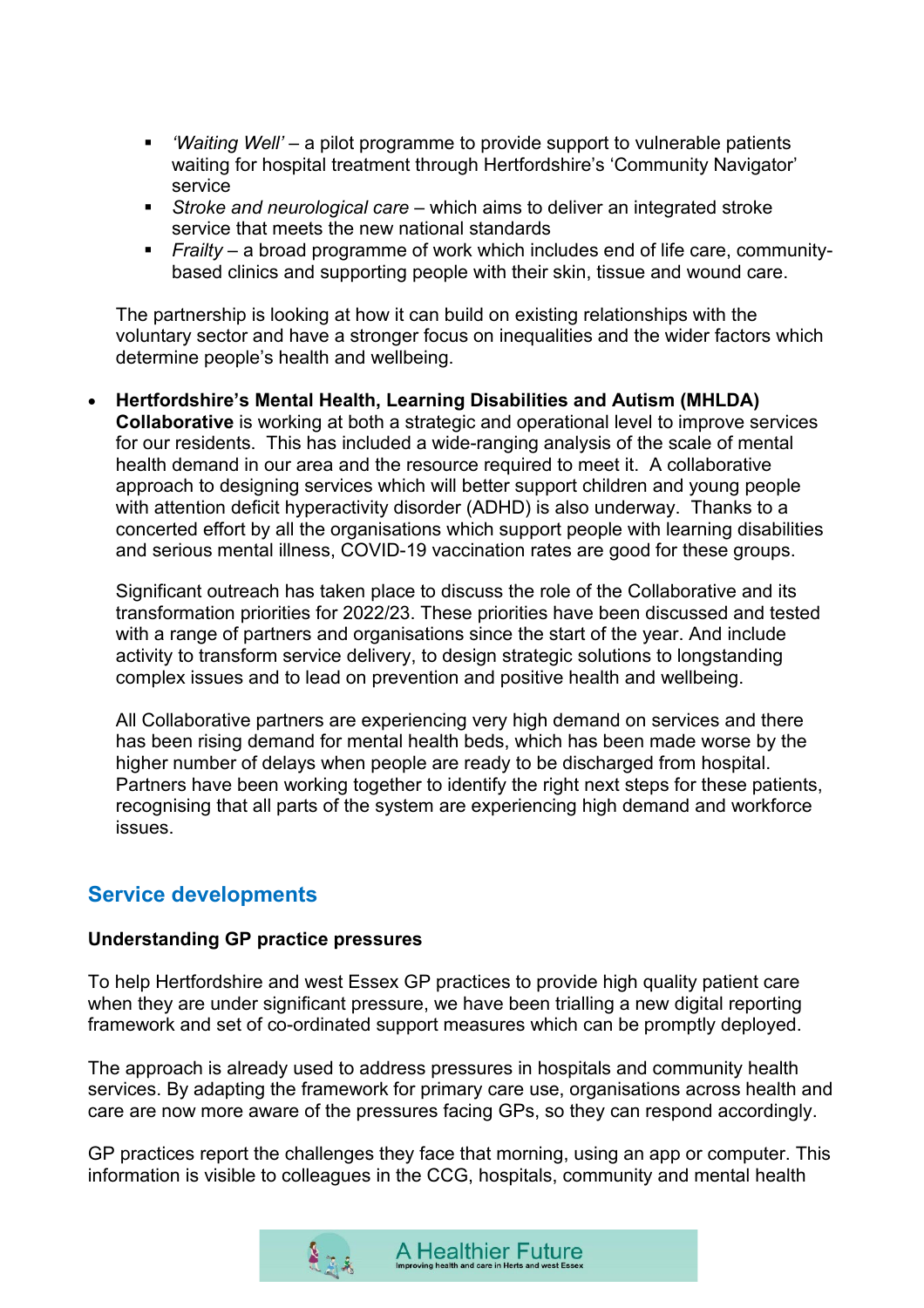- *'Waiting Well'*  a pilot programme to provide support to vulnerable patients waiting for hospital treatment through Hertfordshire's 'Community Navigator' service
- *Stroke and neurological care* which aims to deliver an integrated stroke service that meets the new national standards
- *Frailty* a broad programme of work which includes end of life care, communitybased clinics and supporting people with their skin, tissue and wound care.

The partnership is looking at how it can build on existing relationships with the voluntary sector and have a stronger focus on inequalities and the wider factors which determine people's health and wellbeing.

• **Hertfordshire's Mental Health, Learning Disabilities and Autism (MHLDA) Collaborative** is working at both a strategic and operational level to improve services for our residents. This has included a wide-ranging analysis of the scale of mental health demand in our area and the resource required to meet it. A collaborative approach to designing services which will better support children and young people with attention deficit hyperactivity disorder (ADHD) is also underway. Thanks to a concerted effort by all the organisations which support people with learning disabilities and serious mental illness, COVID-19 vaccination rates are good for these groups.

Significant outreach has taken place to discuss the role of the Collaborative and its transformation priorities for 2022/23. These priorities have been discussed and tested with a range of partners and organisations since the start of the year. And include activity to transform service delivery, to design strategic solutions to longstanding complex issues and to lead on prevention and positive health and wellbeing.

All Collaborative partners are experiencing very high demand on services and there has been rising demand for mental health beds, which has been made worse by the higher number of delays when people are ready to be discharged from hospital. Partners have been working together to identify the right next steps for these patients, recognising that all parts of the system are experiencing high demand and workforce issues.

# **Service developments**

#### **Understanding GP practice pressures**

To help Hertfordshire and west Essex GP practices to provide high quality patient care when they are under significant pressure, we have been trialling a new digital reporting framework and set of co-ordinated support measures which can be promptly deployed.

The approach is already used to address pressures in hospitals and community health services. By adapting the framework for primary care use, organisations across health and care are now more aware of the pressures facing GPs, so they can respond accordingly.

GP practices report the challenges they face that morning, using an app or computer. This information is visible to colleagues in the CCG, hospitals, community and mental health